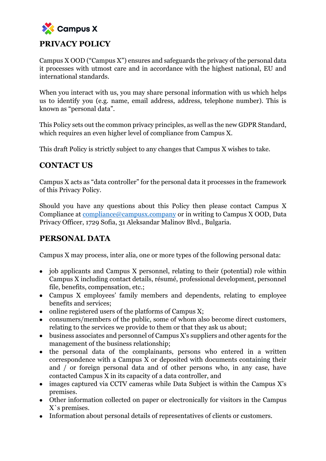

Campus X OOD ("Campus X") ensures and safeguards the privacy of the personal data it processes with utmost care and in accordance with the highest national, EU and international standards.

When you interact with us, you may share personal information with us which helps us to identify you (e.g. name, email address, address, telephone number). This is known as "personal data".

This Policy sets out the common privacy principles, as well as the new GDPR Standard, which requires an even higher level of compliance from Campus X.

This draft Policy is strictly subject to any changes that Campus X wishes to take.

### **CONTACT US**

Campus X acts as "data controller" for the personal data it processes in the framework of this Privacy Policy.

Should you have any questions about this Policy then please contact Campus X Compliance at [compliance@campusx.company](mailto:compliance@telerikacademy.com) or in writing to Campus X OOD, Data Privacy Officer, 1729 Sofia, 31 Aleksandar Malinov Blvd., Bulgaria.

### **PERSONAL DATA**

Campus X may process, inter alia, one or more types of the following personal data:

- job applicants and Campus X personnel, relating to their (potential) role within Campus X including contact details, résumé, professional development, personnel file, benefits, compensation, etc.;
- Campus X employees' family members and dependents, relating to employee benefits and services;
- online registered users of the platforms of Campus X;
- consumers/members of the public, some of whom also become direct customers, relating to the services we provide to them or that they ask us about;
- business associates and personnel of Campus X's suppliers and other agents for the management of the business relationship;
- the personal data of the complainants, persons who entered in a written correspondence with a Campus X or deposited with documents containing their and / or foreign personal data and of other persons who, in any case, have contacted Campus X in its capacity of a data controller, and
- images captured via CCTV cameras while Data Subject is within the Campus X's premises.
- Other information collected on paper or electronically for visitors in the Campus X`s premises.
- Information about personal details of representatives of clients or customers.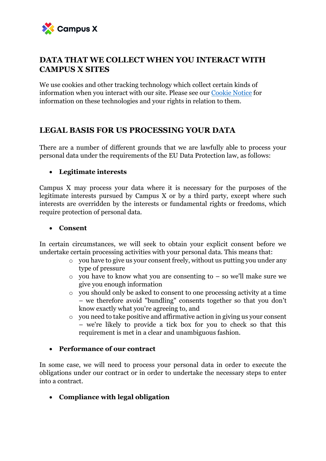

#### **DATA THAT WE COLLECT WHEN YOU INTERACT WITH CAMPUS X SITES**

We use cookies and other tracking technology which collect certain kinds of information when you interact with our site. Please see our [Cookie Notice](http://docs.wixstatic.com/ugd/0b1371_b6867fe2dad641d6ab0730071bffe16a.pdf) for information on these technologies and your rights in relation to them.

### **LEGAL BASIS FOR US PROCESSING YOUR DATA**

There are a number of different grounds that we are lawfully able to process your personal data under the requirements of the EU Data Protection law, as follows:

#### • **Legitimate interests**

Campus X may process your data where it is necessary for the purposes of the legitimate interests pursued by Campus X or by a third party, except where such interests are overridden by the interests or fundamental rights or freedoms, which require protection of personal data.

#### • **Consent**

In certain circumstances, we will seek to obtain your explicit consent before we undertake certain processing activities with your personal data. This means that:

- o you have to give us your consent freely, without us putting you under any type of pressure
- $\circ$  vou have to know what you are consenting to so we'll make sure we give you enough information
- o you should only be asked to consent to one processing activity at a time – we therefore avoid "bundling" consents together so that you don't know exactly what you're agreeing to, and
- o you need to take positive and affirmative action in giving us your consent – we're likely to provide a tick box for you to check so that this requirement is met in a clear and unambiguous fashion.

#### • **Performance of our contract**

In some case, we will need to process your personal data in order to execute the obligations under our contract or in order to undertake the necessary steps to enter into a contract.

• **Compliance with legal obligation**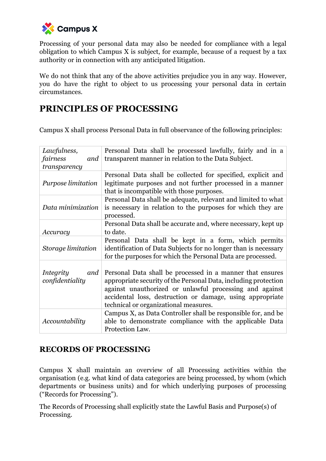

Processing of your personal datа may also be needed for compliance with a legal obligation to which Campus X is subject, for example, because of a request by a tax authority or in connection with any anticipated litigation.

We do not think that any of the above activities prejudice you in any way. However, you do have the right to object to us processing your personal data in certain circumstances.

# **PRINCIPLES OF PROCESSING**

Campus X shall process Personal Data in full observance of the following principles:

| Lawfulness,                                | Personal Data shall be processed lawfully, fairly and in a                                                                                                                                                                                                                                    |
|--------------------------------------------|-----------------------------------------------------------------------------------------------------------------------------------------------------------------------------------------------------------------------------------------------------------------------------------------------|
| fairness<br>and                            | transparent manner in relation to the Data Subject.                                                                                                                                                                                                                                           |
| transparency                               |                                                                                                                                                                                                                                                                                               |
| Purpose limitation                         | Personal Data shall be collected for specified, explicit and<br>legitimate purposes and not further processed in a manner<br>that is incompatible with those purposes.                                                                                                                        |
| Data minimization                          | Personal Data shall be adequate, relevant and limited to what<br>is necessary in relation to the purposes for which they are<br>processed.                                                                                                                                                    |
| Accuracy                                   | Personal Data shall be accurate and, where necessary, kept up<br>to date.                                                                                                                                                                                                                     |
| Storage limitation                         | Personal Data shall be kept in a form, which permits<br>identification of Data Subjects for no longer than is necessary<br>for the purposes for which the Personal Data are processed.                                                                                                        |
| <i>Integrity</i><br>and<br>confidentiality | Personal Data shall be processed in a manner that ensures<br>appropriate security of the Personal Data, including protection<br>against unauthorized or unlawful processing and against<br>accidental loss, destruction or damage, using appropriate<br>technical or organizational measures. |
| Accountability                             | Campus X, as Data Controller shall be responsible for, and be<br>able to demonstrate compliance with the applicable Data<br>Protection Law.                                                                                                                                                   |

### **RECORDS OF PROCESSING**

Campus X shall maintain an overview of all Processing activities within the organisation (e.g. what kind of data categories are being processed, by whom (which departments or business units) and for which underlying purposes of processing ("Records for Processing").

The Records of Processing shall explicitly state the Lawful Basis and Purpose(s) of Processing.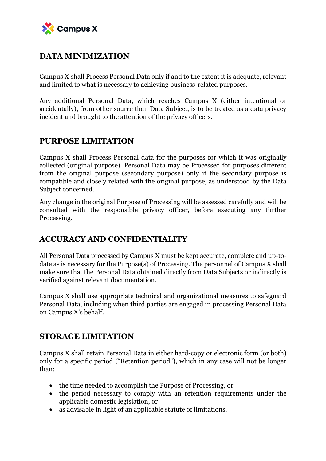

## **DATA MINIMIZATION**

Campus X shall Process Personal Data only if and to the extent it is adequate, relevant and limited to what is necessary to achieving business-related purposes.

Any additional Personal Data, which reaches Campus X (either intentional or accidentally), from other source than Data Subject, is to be treated as a data privacy incident and brought to the attention of the privacy officers.

### **PURPOSE LIMITATION**

Campus X shall Process Personal data for the purposes for which it was originally collected (original purpose). Personal Data may be Processed for purposes different from the original purpose (secondary purpose) only if the secondary purpose is compatible and closely related with the original purpose, as understood by the Data Subject concerned.

Any change in the original Purpose of Processing will be assessed carefully and will be consulted with the responsible privacy officer, before executing any further Processing.

### **ACCURACY AND CONFIDENTIALITY**

All Personal Data processed by Campus X must be kept accurate, complete and up-todate as is necessary for the Purpose(s) of Processing. The personnel of Campus X shall make sure that the Personal Data obtained directly from Data Subjects or indirectly is verified against relevant documentation.

Campus X shall use appropriate technical and organizational measures to safeguard Personal Data, including when third parties are engaged in processing Personal Data on Campus X's behalf.

### **STORAGE LIMITATION**

Campus X shall retain Personal Data in either hard-copy or electronic form (or both) only for a specific period ("Retention period"), which in any case will not be longer than:

- the time needed to accomplish the Purpose of Processing, or
- the period necessary to comply with an retention requirements under the applicable domestic legislation, or
- as advisable in light of an applicable statute of limitations.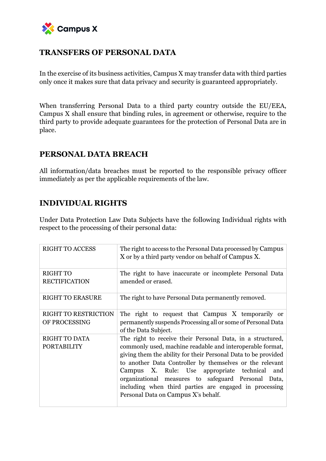

### **TRANSFERS OF PERSONAL DATA**

In the exercise of its business activities, Campus X may transfer data with third parties only once it makes sure that data privacy and security is guaranteed appropriately.

When transferring Personal Data to a third party country outside the EU/EEA, Campus X shall ensure that binding rules, in agreement or otherwise, require to the third party to provide adequate guarantees for the protection of Personal Data are in place.

#### **PERSONAL DATA BREACH**

All information/data breaches must be reported to the responsible privacy officer immediately as per the applicable requirements of the law.

### **INDIVIDUAL RIGHTS**

Under Data Protection Law Data Subjects have the following Individual rights with respect to the processing of their personal data:

| <b>RIGHT TO ACCESS</b>                       | The right to access to the Personal Data processed by Campus<br>X or by a third party vendor on behalf of Campus X.                                                                                                                                                                                                                                                                                                                                               |
|----------------------------------------------|-------------------------------------------------------------------------------------------------------------------------------------------------------------------------------------------------------------------------------------------------------------------------------------------------------------------------------------------------------------------------------------------------------------------------------------------------------------------|
| <b>RIGHT TO</b><br><b>RECTIFICATION</b>      | The right to have inaccurate or incomplete Personal Data<br>amended or erased.                                                                                                                                                                                                                                                                                                                                                                                    |
| <b>RIGHT TO ERASURE</b>                      | The right to have Personal Data permanently removed.                                                                                                                                                                                                                                                                                                                                                                                                              |
| <b>RIGHT TO RESTRICTION</b><br>OF PROCESSING | The right to request that Campus X temporarily or<br>permanently suspends Processing all or some of Personal Data<br>of the Data Subject.                                                                                                                                                                                                                                                                                                                         |
| <b>RIGHT TO DATA</b><br><b>PORTABILITY</b>   | The right to receive their Personal Data, in a structured,<br>commonly used, machine readable and interoperable format,<br>giving them the ability for their Personal Data to be provided<br>to another Data Controller by themselves or the relevant<br>Campus X. Rule: Use appropriate technical<br>and<br>organizational measures to safeguard Personal Data,<br>including when third parties are engaged in processing<br>Personal Data on Campus X's behalf. |